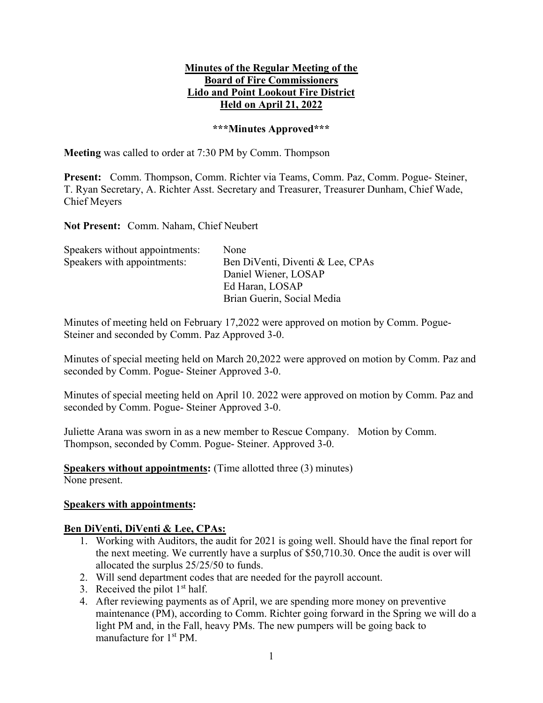### Minutes of the Regular Meeting of the Board of Fire Commissioners Lido and Point Lookout Fire District Held on April 21, 2022

#### \*\*\*Minutes Approved\*\*\*

Meeting was called to order at 7:30 PM by Comm. Thompson

Present: Comm. Thompson, Comm. Richter via Teams, Comm. Paz, Comm. Pogue- Steiner, T. Ryan Secretary, A. Richter Asst. Secretary and Treasurer, Treasurer Dunham, Chief Wade, Chief Meyers

Not Present: Comm. Naham, Chief Neubert

| Speakers without appointments: | None                             |
|--------------------------------|----------------------------------|
| Speakers with appointments:    | Ben DiVenti, Diventi & Lee, CPAs |
|                                | Daniel Wiener, LOSAP             |
|                                | Ed Haran, LOSAP                  |
|                                | Brian Guerin, Social Media       |

Minutes of meeting held on February 17,2022 were approved on motion by Comm. Pogue-Steiner and seconded by Comm. Paz Approved 3-0.

Minutes of special meeting held on March 20,2022 were approved on motion by Comm. Paz and seconded by Comm. Pogue- Steiner Approved 3-0.

Minutes of special meeting held on April 10. 2022 were approved on motion by Comm. Paz and seconded by Comm. Pogue- Steiner Approved 3-0.

Juliette Arana was sworn in as a new member to Rescue Company. Motion by Comm. Thompson, seconded by Comm. Pogue- Steiner. Approved 3-0.

Speakers without appointments: (Time allotted three (3) minutes) None present.

#### Speakers with appointments:

#### Ben DiVenti, DiVenti & Lee, CPAs:

- 1. Working with Auditors, the audit for 2021 is going well. Should have the final report for the next meeting. We currently have a surplus of \$50,710.30. Once the audit is over will allocated the surplus 25/25/50 to funds.
- 2. Will send department codes that are needed for the payroll account.
- 3. Received the pilot  $1<sup>st</sup>$  half.
- 4. After reviewing payments as of April, we are spending more money on preventive maintenance (PM), according to Comm. Richter going forward in the Spring we will do a light PM and, in the Fall, heavy PMs. The new pumpers will be going back to manufacture for 1<sup>st</sup> PM.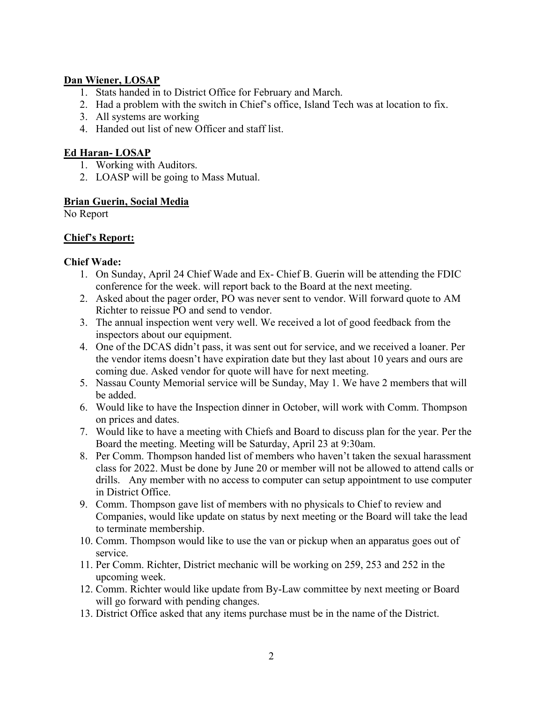## Dan Wiener, LOSAP

- 1. Stats handed in to District Office for February and March.
- 2. Had a problem with the switch in Chief's office, Island Tech was at location to fix.
- 3. All systems are working
- 4. Handed out list of new Officer and staff list.

# Ed Haran- LOSAP

- 1. Working with Auditors.
- 2. LOASP will be going to Mass Mutual.

#### Brian Guerin, Social Media

No Report

# Chief's Report:

### Chief Wade:

- 1. On Sunday, April 24 Chief Wade and Ex- Chief B. Guerin will be attending the FDIC conference for the week. will report back to the Board at the next meeting.
- 2. Asked about the pager order, PO was never sent to vendor. Will forward quote to AM Richter to reissue PO and send to vendor.
- 3. The annual inspection went very well. We received a lot of good feedback from the inspectors about our equipment.
- 4. One of the DCAS didn't pass, it was sent out for service, and we received a loaner. Per the vendor items doesn't have expiration date but they last about 10 years and ours are coming due. Asked vendor for quote will have for next meeting.
- 5. Nassau County Memorial service will be Sunday, May 1. We have 2 members that will be added.
- 6. Would like to have the Inspection dinner in October, will work with Comm. Thompson on prices and dates.
- 7. Would like to have a meeting with Chiefs and Board to discuss plan for the year. Per the Board the meeting. Meeting will be Saturday, April 23 at 9:30am.
- 8. Per Comm. Thompson handed list of members who haven't taken the sexual harassment class for 2022. Must be done by June 20 or member will not be allowed to attend calls or drills. Any member with no access to computer can setup appointment to use computer in District Office.
- 9. Comm. Thompson gave list of members with no physicals to Chief to review and Companies, would like update on status by next meeting or the Board will take the lead to terminate membership.
- 10. Comm. Thompson would like to use the van or pickup when an apparatus goes out of service.
- 11. Per Comm. Richter, District mechanic will be working on 259, 253 and 252 in the upcoming week.
- 12. Comm. Richter would like update from By-Law committee by next meeting or Board will go forward with pending changes.
- 13. District Office asked that any items purchase must be in the name of the District.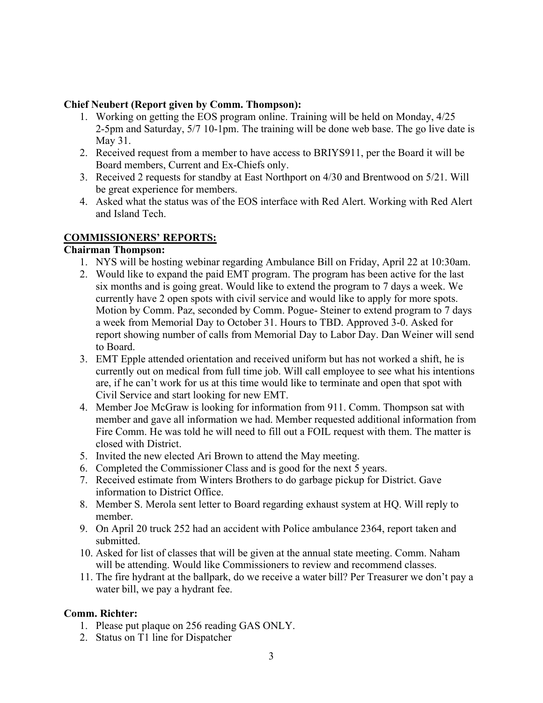#### Chief Neubert (Report given by Comm. Thompson):

- 1. Working on getting the EOS program online. Training will be held on Monday, 4/25 2-5pm and Saturday, 5/7 10-1pm. The training will be done web base. The go live date is May 31.
- 2. Received request from a member to have access to BRIYS911, per the Board it will be Board members, Current and Ex-Chiefs only.
- 3. Received 2 requests for standby at East Northport on 4/30 and Brentwood on 5/21. Will be great experience for members.
- 4. Asked what the status was of the EOS interface with Red Alert. Working with Red Alert and Island Tech.

# COMMISSIONERS' REPORTS:

### Chairman Thompson:

- 1. NYS will be hosting webinar regarding Ambulance Bill on Friday, April 22 at 10:30am.
- 2. Would like to expand the paid EMT program. The program has been active for the last six months and is going great. Would like to extend the program to 7 days a week. We currently have 2 open spots with civil service and would like to apply for more spots. Motion by Comm. Paz, seconded by Comm. Pogue- Steiner to extend program to 7 days a week from Memorial Day to October 31. Hours to TBD. Approved 3-0. Asked for report showing number of calls from Memorial Day to Labor Day. Dan Weiner will send to Board.
- 3. EMT Epple attended orientation and received uniform but has not worked a shift, he is currently out on medical from full time job. Will call employee to see what his intentions are, if he can't work for us at this time would like to terminate and open that spot with Civil Service and start looking for new EMT.
- 4. Member Joe McGraw is looking for information from 911. Comm. Thompson sat with member and gave all information we had. Member requested additional information from Fire Comm. He was told he will need to fill out a FOIL request with them. The matter is closed with District.
- 5. Invited the new elected Ari Brown to attend the May meeting.
- 6. Completed the Commissioner Class and is good for the next 5 years.
- 7. Received estimate from Winters Brothers to do garbage pickup for District. Gave information to District Office.
- 8. Member S. Merola sent letter to Board regarding exhaust system at HQ. Will reply to member.
- 9. On April 20 truck 252 had an accident with Police ambulance 2364, report taken and submitted.
- 10. Asked for list of classes that will be given at the annual state meeting. Comm. Naham will be attending. Would like Commissioners to review and recommend classes.
- 11. The fire hydrant at the ballpark, do we receive a water bill? Per Treasurer we don't pay a water bill, we pay a hydrant fee.

# Comm. Richter:

- 1. Please put plaque on 256 reading GAS ONLY.
- 2. Status on T1 line for Dispatcher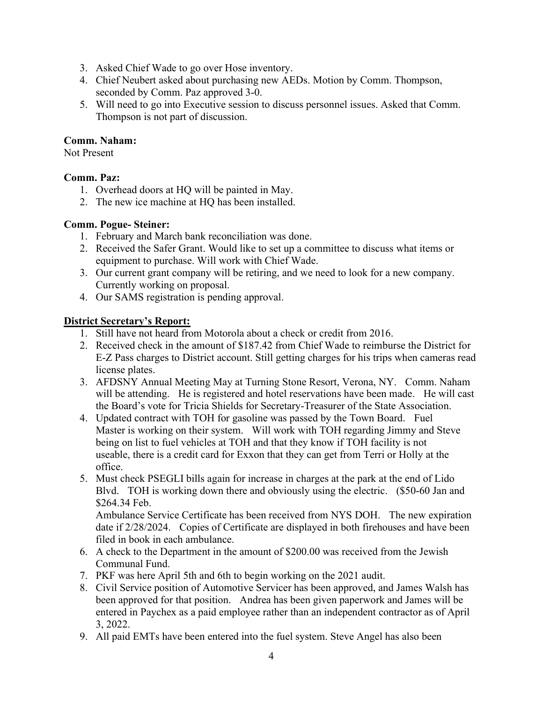- 3. Asked Chief Wade to go over Hose inventory.
- 4. Chief Neubert asked about purchasing new AEDs. Motion by Comm. Thompson, seconded by Comm. Paz approved 3-0.
- 5. Will need to go into Executive session to discuss personnel issues. Asked that Comm. Thompson is not part of discussion.

## Comm. Naham:

Not Present

### Comm. Paz:

- 1. Overhead doors at HQ will be painted in May.
- 2. The new ice machine at HQ has been installed.

# Comm. Pogue- Steiner:

- 1. February and March bank reconciliation was done.
- 2. Received the Safer Grant. Would like to set up a committee to discuss what items or equipment to purchase. Will work with Chief Wade.
- 3. Our current grant company will be retiring, and we need to look for a new company. Currently working on proposal.
- 4. Our SAMS registration is pending approval.

# District Secretary's Report:

- 1. Still have not heard from Motorola about a check or credit from 2016.
- 2. Received check in the amount of \$187.42 from Chief Wade to reimburse the District for E-Z Pass charges to District account. Still getting charges for his trips when cameras read license plates.
- 3. AFDSNY Annual Meeting May at Turning Stone Resort, Verona, NY. Comm. Naham will be attending. He is registered and hotel reservations have been made. He will cast the Board's vote for Tricia Shields for Secretary-Treasurer of the State Association.
- 4. Updated contract with TOH for gasoline was passed by the Town Board. Fuel Master is working on their system. Will work with TOH regarding Jimmy and Steve being on list to fuel vehicles at TOH and that they know if TOH facility is not useable, there is a credit card for Exxon that they can get from Terri or Holly at the office.
- 5. Must check PSEGLI bills again for increase in charges at the park at the end of Lido Blvd. TOH is working down there and obviously using the electric. (\$50-60 Jan and \$264.34 Feb.

 Ambulance Service Certificate has been received from NYS DOH. The new expiration date if 2/28/2024. Copies of Certificate are displayed in both firehouses and have been filed in book in each ambulance.

- 6. A check to the Department in the amount of \$200.00 was received from the Jewish Communal Fund.
- 7. PKF was here April 5th and 6th to begin working on the 2021 audit.
- 8. Civil Service position of Automotive Servicer has been approved, and James Walsh has been approved for that position. Andrea has been given paperwork and James will be entered in Paychex as a paid employee rather than an independent contractor as of April 3, 2022.
- 9. All paid EMTs have been entered into the fuel system. Steve Angel has also been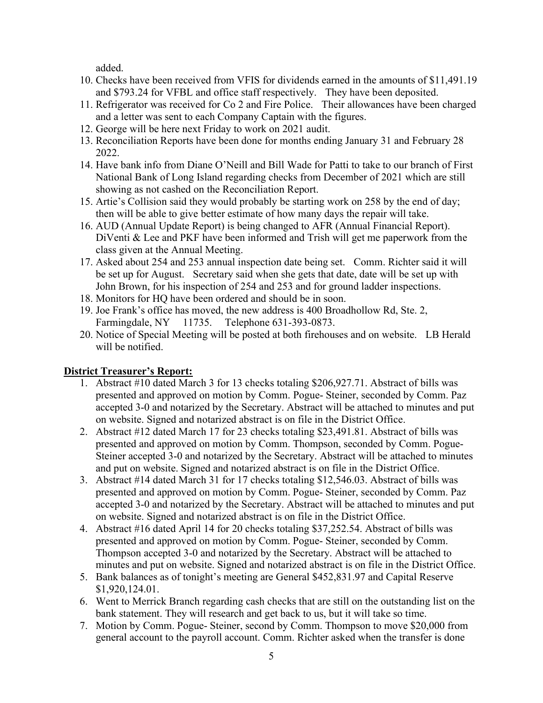added.

- 10. Checks have been received from VFIS for dividends earned in the amounts of \$11,491.19 and \$793.24 for VFBL and office staff respectively. They have been deposited.
- 11. Refrigerator was received for Co 2 and Fire Police. Their allowances have been charged and a letter was sent to each Company Captain with the figures.
- 12. George will be here next Friday to work on 2021 audit.
- 13. Reconciliation Reports have been done for months ending January 31 and February 28 2022.
- 14. Have bank info from Diane O'Neill and Bill Wade for Patti to take to our branch of First National Bank of Long Island regarding checks from December of 2021 which are still showing as not cashed on the Reconciliation Report.
- 15. Artie's Collision said they would probably be starting work on 258 by the end of day; then will be able to give better estimate of how many days the repair will take.
- 16. AUD (Annual Update Report) is being changed to AFR (Annual Financial Report). DiVenti & Lee and PKF have been informed and Trish will get me paperwork from the class given at the Annual Meeting.
- 17. Asked about 254 and 253 annual inspection date being set. Comm. Richter said it will be set up for August. Secretary said when she gets that date, date will be set up with John Brown, for his inspection of 254 and 253 and for ground ladder inspections.
- 18. Monitors for HQ have been ordered and should be in soon.
- 19. Joe Frank's office has moved, the new address is 400 Broadhollow Rd, Ste. 2, Farmingdale, NY 11735. Telephone 631-393-0873.
- 20. Notice of Special Meeting will be posted at both firehouses and on website. LB Herald will be notified.

# District Treasurer's Report:

- 1. Abstract #10 dated March 3 for 13 checks totaling \$206,927.71. Abstract of bills was presented and approved on motion by Comm. Pogue- Steiner, seconded by Comm. Paz accepted 3-0 and notarized by the Secretary. Abstract will be attached to minutes and put on website. Signed and notarized abstract is on file in the District Office.
- 2. Abstract #12 dated March 17 for 23 checks totaling \$23,491.81. Abstract of bills was presented and approved on motion by Comm. Thompson, seconded by Comm. Pogue-Steiner accepted 3-0 and notarized by the Secretary. Abstract will be attached to minutes and put on website. Signed and notarized abstract is on file in the District Office.
- 3. Abstract #14 dated March 31 for 17 checks totaling \$12,546.03. Abstract of bills was presented and approved on motion by Comm. Pogue- Steiner, seconded by Comm. Paz accepted 3-0 and notarized by the Secretary. Abstract will be attached to minutes and put on website. Signed and notarized abstract is on file in the District Office.
- 4. Abstract #16 dated April 14 for 20 checks totaling \$37,252.54. Abstract of bills was presented and approved on motion by Comm. Pogue- Steiner, seconded by Comm. Thompson accepted 3-0 and notarized by the Secretary. Abstract will be attached to minutes and put on website. Signed and notarized abstract is on file in the District Office.
- 5. Bank balances as of tonight's meeting are General \$452,831.97 and Capital Reserve \$1,920,124.01.
- 6. Went to Merrick Branch regarding cash checks that are still on the outstanding list on the bank statement. They will research and get back to us, but it will take so time.
- 7. Motion by Comm. Pogue- Steiner, second by Comm. Thompson to move \$20,000 from general account to the payroll account. Comm. Richter asked when the transfer is done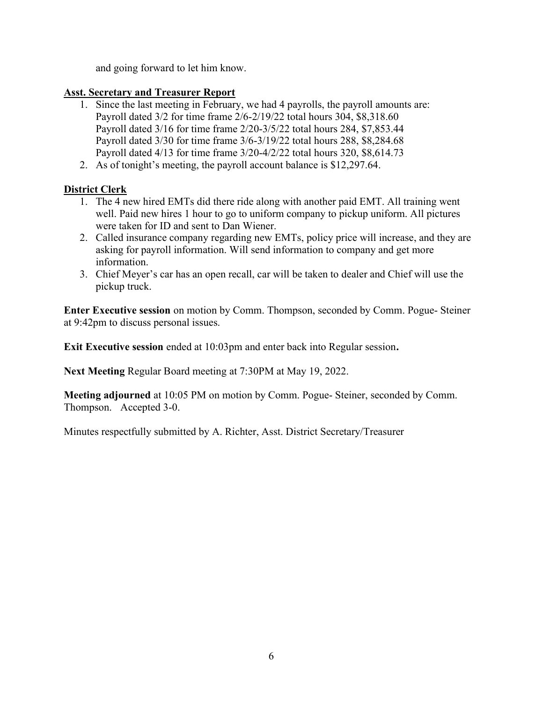and going forward to let him know.

## Asst. Secretary and Treasurer Report

- 1. Since the last meeting in February, we had 4 payrolls, the payroll amounts are: Payroll dated 3/2 for time frame 2/6-2/19/22 total hours 304, \$8,318.60 Payroll dated 3/16 for time frame 2/20-3/5/22 total hours 284, \$7,853.44 Payroll dated 3/30 for time frame 3/6-3/19/22 total hours 288, \$8,284.68 Payroll dated 4/13 for time frame 3/20-4/2/22 total hours 320, \$8,614.73
- 2. As of tonight's meeting, the payroll account balance is \$12,297.64.

# District Clerk

- 1. The 4 new hired EMTs did there ride along with another paid EMT. All training went well. Paid new hires 1 hour to go to uniform company to pickup uniform. All pictures were taken for ID and sent to Dan Wiener.
- 2. Called insurance company regarding new EMTs, policy price will increase, and they are asking for payroll information. Will send information to company and get more information.
- 3. Chief Meyer's car has an open recall, car will be taken to dealer and Chief will use the pickup truck.

Enter Executive session on motion by Comm. Thompson, seconded by Comm. Pogue- Steiner at 9:42pm to discuss personal issues.

Exit Executive session ended at 10:03pm and enter back into Regular session.

Next Meeting Regular Board meeting at 7:30PM at May 19, 2022.

Meeting adjourned at 10:05 PM on motion by Comm. Pogue- Steiner, seconded by Comm. Thompson. Accepted 3-0.

Minutes respectfully submitted by A. Richter, Asst. District Secretary/Treasurer